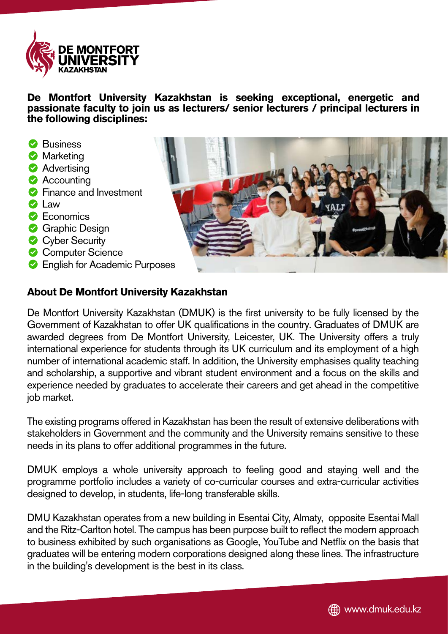

**De Montfort University Kazakhstan is seeking exceptional, energetic and passionate faculty to join us as lecturers/ senior lecturers / principal lecturers in the following disciplines:**

- **Business**
- **Marketing**
- **Advertising**
- **Accounting**
- **S** Finance and Investment
- **O** Law
- **C** Economics
- **Graphic Design**
- **Cyber Security**
- Computer Science
- **C** English for Academic Purposes



## **About De Montfort University Kazakhstan**

De Montfort University Kazakhstan (DMUK) is the first university to be fully licensed by the Government of Kazakhstan to offer UK qualifications in the country. Graduates of DMUK are awarded degrees from De Montfort University, Leicester, UK. The University offers a truly international experience for students through its UK curriculum and its employment of a high number of international academic staff. In addition, the University emphasises quality teaching and scholarship, a supportive and vibrant student environment and a focus on the skills and experience needed by graduates to accelerate their careers and get ahead in the competitive job market.

The existing programs offered in Kazakhstan has been the result of extensive deliberations with stakeholders in Government and the community and the University remains sensitive to these needs in its plans to offer additional programmes in the future.

DMUK employs a whole university approach to feeling good and staying well and the programme portfolio includes a variety of co-curricular courses and extra-curricular activities designed to develop, in students, life-long transferable skills.

DMU Kazakhstan operates from a new building in Esentai City, Almaty, opposite Esentai Mall and the Ritz-Carlton hotel. The campus has been purpose built to reflect the modern approach to business exhibited by such organisations as Google, YouTube and Netflix on the basis that graduates will be entering modern corporations designed along these lines. The infrastructure in the building's development is the best in its class.

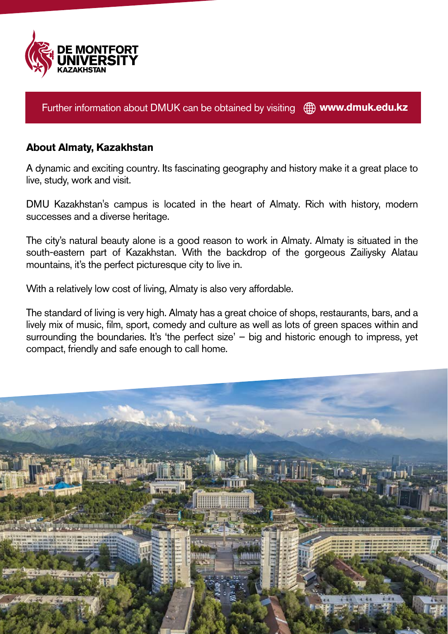

Further information about DMUK can be obtained by visiting  $\bigoplus$  www.dmuk.edu.kz

## **About Almaty, Kazakhstan**

A dynamic and exciting country. Its fascinating geography and history make it a great place to live, study, work and visit.

DMU Kazakhstan's campus is located in the heart of Almaty. Rich with history, modern successes and a diverse heritage.

The city's natural beauty alone is a good reason to work in Almaty. Almaty is situated in the south-eastern part of Kazakhstan. With the backdrop of the gorgeous Zailiysky Alatau mountains, it's the perfect picturesque city to live in.

With a relatively low cost of living, Almaty is also very affordable.

The standard of living is very high. Almaty has a great choice of shops, restaurants, bars, and a lively mix of music, film, sport, comedy and culture as well as lots of green spaces within and surrounding the boundaries. It's 'the perfect size' – big and historic enough to impress, yet compact, friendly and safe enough to call home.

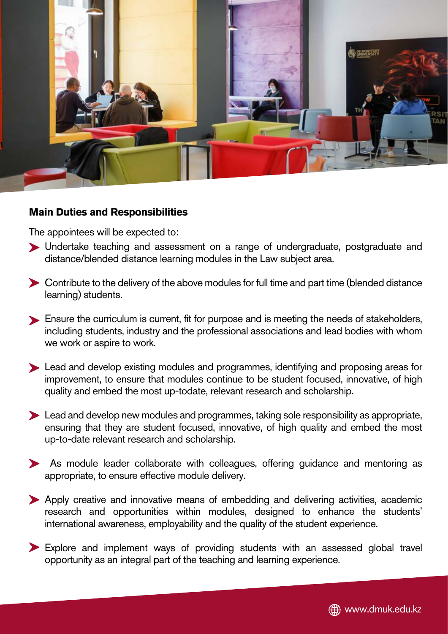

#### **Main Duties and Responsibilities**

The appointees will be expected to:

- Undertake teaching and assessment on a range of undergraduate, postgraduate and distance/blended distance learning modules in the Law subject area.
- Contribute to the delivery of the above modules for full time and part time (blended distance learning) students.
- Ensure the curriculum is current, fit for purpose and is meeting the needs of stakeholders, including students, industry and the professional associations and lead bodies with whom we work or aspire to work.
- Lead and develop existing modules and programmes, identifying and proposing areas for improvement, to ensure that modules continue to be student focused, innovative, of high quality and embed the most up-todate, relevant research and scholarship.
- Lead and develop new modules and programmes, taking sole responsibility as appropriate, ensuring that they are student focused, innovative, of high quality and embed the most up-to-date relevant research and scholarship.
- As module leader collaborate with colleagues, offering guidance and mentoring as appropriate, to ensure effective module delivery.
- Apply creative and innovative means of embedding and delivering activities, academic research and opportunities within modules, designed to enhance the students' international awareness, employability and the quality of the student experience.
- Explore and implement ways of providing students with an assessed global travel opportunity as an integral part of the teaching and learning experience.

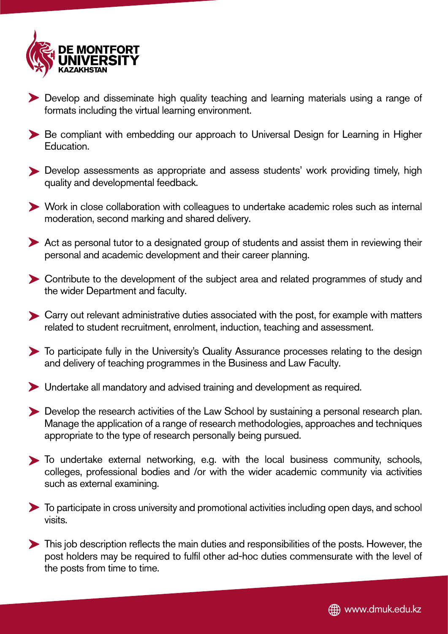

- Develop and disseminate high quality teaching and learning materials using a range of formats including the virtual learning environment.
- Be compliant with embedding our approach to Universal Design for Learning in Higher Education.
- Develop assessments as appropriate and assess students' work providing timely, high quality and developmental feedback.
- Work in close collaboration with colleagues to undertake academic roles such as internal moderation, second marking and shared delivery.
- Act as personal tutor to a designated group of students and assist them in reviewing their personal and academic development and their career planning.
- Contribute to the development of the subject area and related programmes of study and the wider Department and faculty.
- Carry out relevant administrative duties associated with the post, for example with matters related to student recruitment, enrolment, induction, teaching and assessment.
- To participate fully in the University's Quality Assurance processes relating to the design and delivery of teaching programmes in the Business and Law Faculty.
- Undertake all mandatory and advised training and development as required.
- Develop the research activities of the Law School by sustaining a personal research plan. Manage the application of a range of research methodologies, approaches and techniques appropriate to the type of research personally being pursued.
- To undertake external networking, e.g. with the local business community, schools, colleges, professional bodies and /or with the wider academic community via activities such as external examining.
- To participate in cross university and promotional activities including open days, and school visits.
- This job description reflects the main duties and responsibilities of the posts. However, the post holders may be required to fulfil other ad-hoc duties commensurate with the level of the posts from time to time.

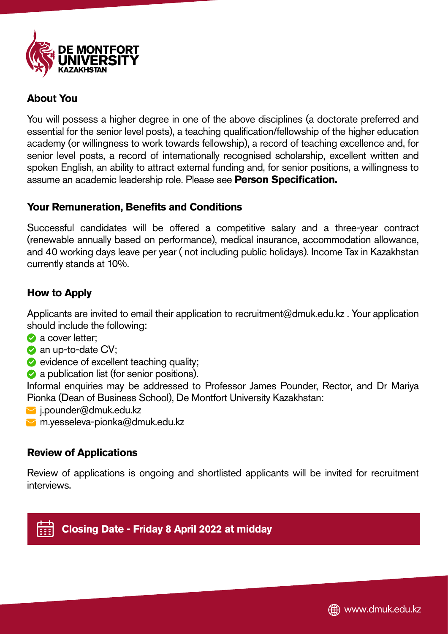

## **About You**

You will possess a higher degree in one of the above disciplines (a doctorate preferred and essential for the senior level posts), a teaching qualification/fellowship of the higher education academy (or willingness to work towards fellowship), a record of teaching excellence and, for senior level posts, a record of internationally recognised scholarship, excellent written and spoken English, an ability to attract external funding and, for senior positions, a willingness to assume an academic leadership role. Please see **Person Specification.** 

## **Your Remuneration, Benefits and Conditions**

Successful candidates will be offered a competitive salary and a three-year contract (renewable annually based on performance), medical insurance, accommodation allowance, and 40 working days leave per year ( not including public holidays). Income Tax in Kazakhstan currently stands at 10%.

# **How to Apply**

Applicants are invited to email their application to recruitment@dmuk.edu.kz . Your application should include the following:

- a cover letter;
- an up-to-date CV;
- $\bullet$  evidence of excellent teaching quality;
- **a** a publication list (for senior positions).

Informal enquiries may be addressed to Professor James Pounder, Rector, and Dr Mariya Pionka (Dean of Business School), De Montfort University Kazakhstan:

- $\blacksquare$  i.pounder@dmuk.edu.kz
- m.yesseleva-pionka@dmuk.edu.kz

# **Review of Applications**

Review of applications is ongoing and shortlisted applicants will be invited for recruitment interviews.

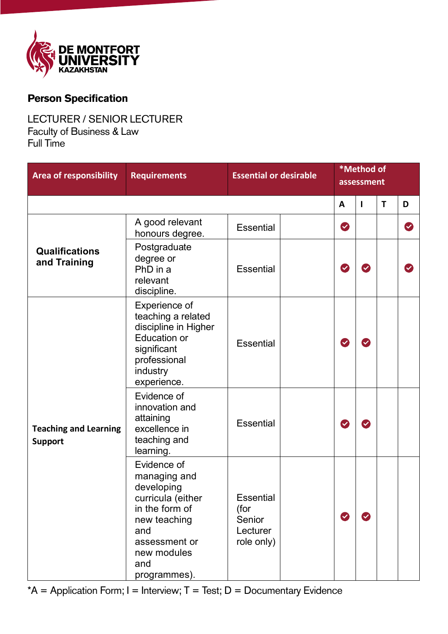

# **Person Specification**

#### LECTURER / SENIOR LECTURER Faculty of Business & Law Full Time

| <b>Area of responsibility</b>                  | <b>Requirements</b>                                                                                                                                            | <b>Essential or desirable</b>                         |  | *Method of<br>assessment |                            |   |   |
|------------------------------------------------|----------------------------------------------------------------------------------------------------------------------------------------------------------------|-------------------------------------------------------|--|--------------------------|----------------------------|---|---|
|                                                |                                                                                                                                                                |                                                       |  | $\mathsf{A}$             | $\mathbf{I}$               | T | D |
| <b>Qualifications</b><br>and Training          | A good relevant<br>honours degree.                                                                                                                             | <b>Essential</b>                                      |  | $\bullet$                |                            |   | Ø |
|                                                | Postgraduate<br>degree or<br>PhD in a<br>relevant<br>discipline.                                                                                               | <b>Essential</b>                                      |  | $\blacktriangledown$     | $\blacktriangledown$       |   |   |
| <b>Teaching and Learning</b><br><b>Support</b> | Experience of<br>teaching a related<br>discipline in Higher<br><b>Education or</b><br>significant<br>professional<br>industry<br>experience.                   | <b>Essential</b>                                      |  | $\bullet$                | $\blacktriangledown$       |   |   |
|                                                | Evidence of<br>innovation and<br>attaining<br>excellence in<br>teaching and<br>learning.                                                                       | <b>Essential</b>                                      |  | $\blacktriangledown$     | $\blacktriangledown$       |   |   |
|                                                | Evidence of<br>managing and<br>developing<br>curricula (either<br>in the form of<br>new teaching<br>and<br>assessment or<br>new modules<br>and<br>programmes). | Essential<br>(for<br>Senior<br>Lecturer<br>role only) |  | $\boldsymbol{\varphi}$   | $\boldsymbol{\mathcal{L}}$ |   |   |

 $*A =$  Application Form; I = Interview; T = Test; D = Documentary Evidence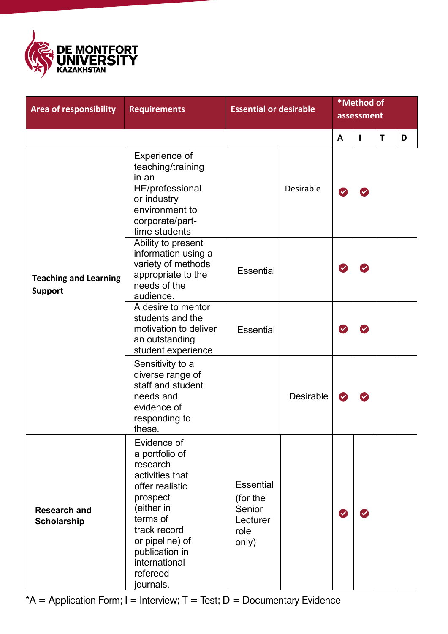

| <b>Area of responsibility</b>                  | <b>Requirements</b>                                                                                                                                                                                                  | <b>Essential or desirable</b>                                |                  |                            | *Method of<br>assessment |   |   |
|------------------------------------------------|----------------------------------------------------------------------------------------------------------------------------------------------------------------------------------------------------------------------|--------------------------------------------------------------|------------------|----------------------------|--------------------------|---|---|
|                                                |                                                                                                                                                                                                                      |                                                              |                  | A                          | L                        | T | D |
| <b>Teaching and Learning</b><br><b>Support</b> | Experience of<br>teaching/training<br>in an<br>HE/professional<br>or industry<br>environment to<br>corporate/part-<br>time students                                                                                  |                                                              | Desirable        | $\blacktriangledown$       |                          |   |   |
|                                                | Ability to present<br>information using a<br>variety of methods<br>appropriate to the<br>needs of the<br>audience.                                                                                                   | <b>Essential</b>                                             |                  | $\boldsymbol{\mathcal{C}}$ | $\blacktriangledown$     |   |   |
|                                                | A desire to mentor<br>students and the<br>motivation to deliver<br>an outstanding<br>student experience                                                                                                              | <b>Essential</b>                                             |                  | $\blacktriangledown$       |                          |   |   |
|                                                | Sensitivity to a<br>diverse range of<br>staff and student<br>needs and<br>evidence of<br>responding to<br>these.                                                                                                     |                                                              | <b>Desirable</b> | $\bullet$                  | $\boldsymbol{\omega}$    |   |   |
| <b>Research and</b><br><b>Scholarship</b>      | Evidence of<br>a portfolio of<br>research<br>activities that<br>offer realistic<br>prospect<br>(either in<br>terms of<br>track record<br>or pipeline) of<br>publication in<br>international<br>refereed<br>journals. | Essential<br>(for the<br>Senior<br>Lecturer<br>role<br>only) |                  | $\checkmark$               |                          |   |   |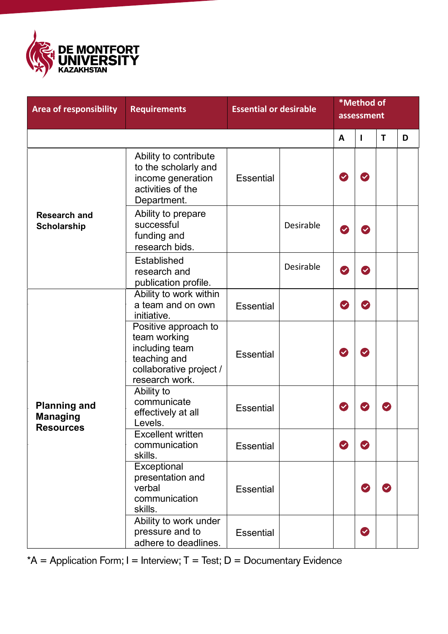

| <b>Area of responsibility</b>                              | <b>Requirements</b>                                                                                                 | <b>Essential or desirable</b> |                  | *Method of<br>assessment   |                            |              |   |
|------------------------------------------------------------|---------------------------------------------------------------------------------------------------------------------|-------------------------------|------------------|----------------------------|----------------------------|--------------|---|
|                                                            |                                                                                                                     |                               |                  | A                          | L                          | T            | D |
| <b>Research and</b><br><b>Scholarship</b>                  | Ability to contribute<br>to the scholarly and<br>income generation<br>activities of the<br>Department.              | Essential                     |                  | $\blacktriangledown$       | $\blacktriangledown$       |              |   |
|                                                            | Ability to prepare<br>successful<br>funding and<br>research bids.                                                   |                               | <b>Desirable</b> | $\checkmark$               |                            |              |   |
|                                                            | <b>Established</b><br>research and<br>publication profile.                                                          |                               | Desirable        | $\boldsymbol{\mathcal{C}}$ | $\blacktriangledown$       |              |   |
| <b>Planning and</b><br><b>Managing</b><br><b>Resources</b> | Ability to work within<br>a team and on own<br>initiative.                                                          | <b>Essential</b>              |                  | $\bullet$                  | $\boldsymbol{\mathcal{C}}$ |              |   |
|                                                            | Positive approach to<br>team working<br>including team<br>teaching and<br>collaborative project /<br>research work. | <b>Essential</b>              |                  | Ø                          | $\checkmark$               |              |   |
|                                                            | Ability to<br>communicate<br>effectively at all<br>Levels.                                                          | <b>Essential</b>              |                  | $\boldsymbol{\mathcal{S}}$ |                            | $\checkmark$ |   |
|                                                            | <b>Excellent written</b><br>communication<br>skills.                                                                | <b>Essential</b>              |                  | $\blacktriangledown$       |                            |              |   |
|                                                            | Exceptional<br>presentation and<br>verbal<br>communication<br>skills.                                               | <b>Essential</b>              |                  |                            | $\blacktriangledown$       | $\checkmark$ |   |
|                                                            | Ability to work under<br>pressure and to<br>adhere to deadlines.                                                    | <b>Essential</b>              |                  |                            | Ø                          |              |   |

 $*A =$  Application Form; I = Interview; T = Test; D = Documentary Evidence